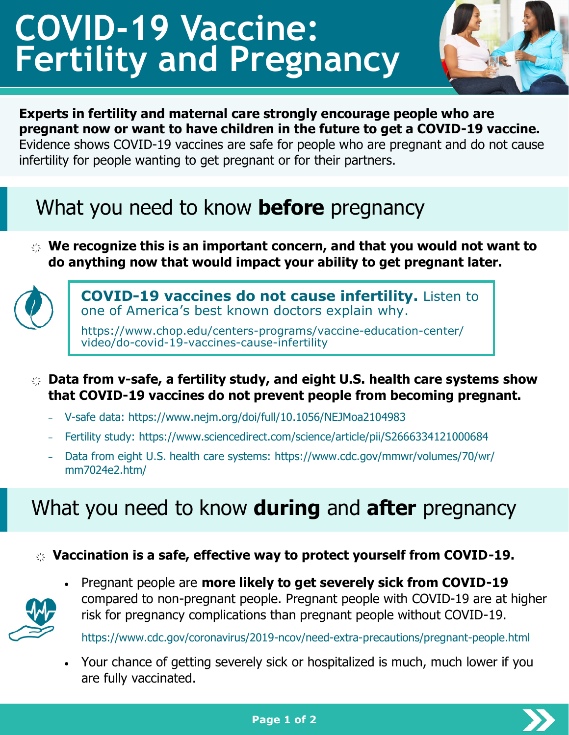# **COVID-19 Vaccine: Fertility and Pregnancy**



#### **Experts in fertility and maternal care strongly encourage people who are pregnant now or want to have children in the future to get a COVID-19 vaccine.**

Evidence shows COVID-19 vaccines are safe for people who are pregnant and do not cause infertility for people wanting to get pregnant or for their partners.

### What you need to know **before** pregnancy

҉ **We recognize this is an important concern, and that you would not want to do anything now that would impact your ability to get pregnant later.** 



**COVID-19 vaccines do not cause infertility.** Listen to one of America'[s best known doctors explain why.](https://www.chop.edu/centers-programs/vaccine-education-center/video/do-covid-19-vaccines-cause-infertility)

https://www.chop.edu/centers-programs/vaccine-education-center/ video/do-covid-19-vaccines-cause-infertility

- ҉ **Data from v-safe, a fertility study, and eight U.S. health care systems show that COVID-19 vaccines do not prevent people from becoming pregnant.**
	- − V-safe data:<https://www.nejm.org/doi/full/10.1056/NEJMoa2104983>
	- − Fertility study: <https://www.sciencedirect.com/science/article/pii/S2666334121000684>
	- − Data from eight U.S. health care systems: [https://www.cdc.gov/mmwr/volumes/70/wr/](https://www.cdc.gov/mmwr/volumes/70/wr/mm7024e2.htm/) [mm7024e2.htm/](https://www.cdc.gov/mmwr/volumes/70/wr/mm7024e2.htm/)

### What you need to know **during** and **after** pregnancy

#### ҉ **Vaccination is a safe, effective way to protect yourself from COVID-19.**



• Pregnant people are **more likely to get severely sick from COVID-19** compared to non-pregnant people. Pregnant people with COVID-19 are at higher risk for pregnancy complications than pregnant people without COVID-19.

[https://www.cdc.gov/coronavirus/2019](https://www.cdc.gov/coronavirus/2019-ncov/need-extra-precautions/pregnant-people.html)-ncov/need-extra-precautions/pregnant-people.html

• Your chance of getting severely sick or hospitalized is much, much lower if you are fully vaccinated.